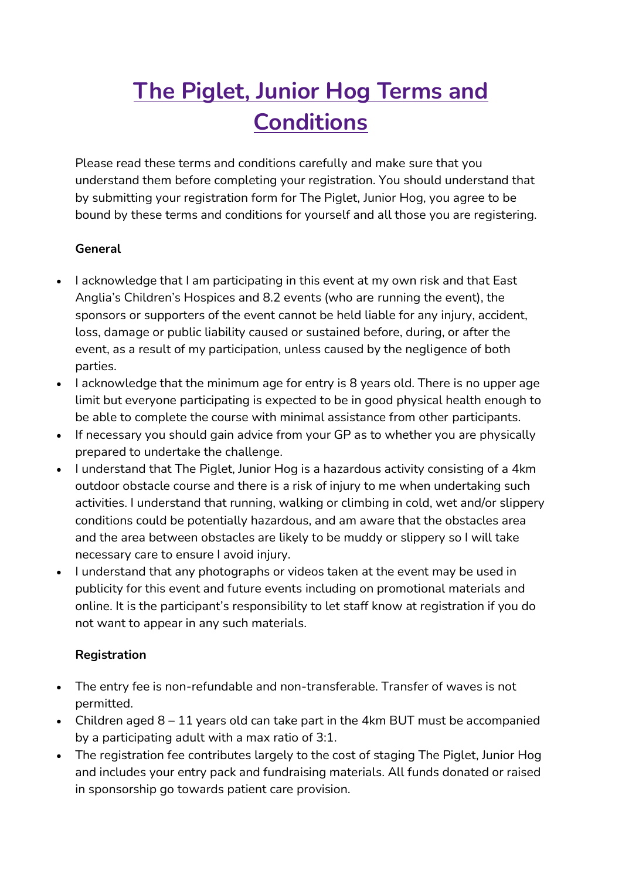# **The Piglet, Junior Hog Terms and Conditions**

Please read these terms and conditions carefully and make sure that you understand them before completing your registration. You should understand that by submitting your registration form for The Piglet, Junior Hog, you agree to be bound by these terms and conditions for yourself and all those you are registering.

### **General**

- I acknowledge that I am participating in this event at my own risk and that East Anglia's Children's Hospices and 8.2 events (who are running the event), the sponsors or supporters of the event cannot be held liable for any injury, accident, loss, damage or public liability caused or sustained before, during, or after the event, as a result of my participation, unless caused by the negligence of both parties.
- I acknowledge that the minimum age for entry is 8 years old. There is no upper age limit but everyone participating is expected to be in good physical health enough to be able to complete the course with minimal assistance from other participants.
- If necessary you should gain advice from your GP as to whether you are physically prepared to undertake the challenge.
- I understand that The Piglet, Junior Hog is a hazardous activity consisting of a 4km outdoor obstacle course and there is a risk of injury to me when undertaking such activities. I understand that running, walking or climbing in cold, wet and/or slippery conditions could be potentially hazardous, and am aware that the obstacles area and the area between obstacles are likely to be muddy or slippery so I will take necessary care to ensure I avoid injury.
- I understand that any photographs or videos taken at the event may be used in publicity for this event and future events including on promotional materials and online. It is the participant's responsibility to let staff know at registration if you do not want to appear in any such materials.

### **Registration**

- The entry fee is non-refundable and non-transferable. Transfer of waves is not permitted.
- Children aged  $8 11$  years old can take part in the 4km BUT must be accompanied by a participating adult with a max ratio of 3:1.
- The registration fee contributes largely to the cost of staging The Piglet, Junior Hog and includes your entry pack and fundraising materials. All funds donated or raised in sponsorship go towards patient care provision.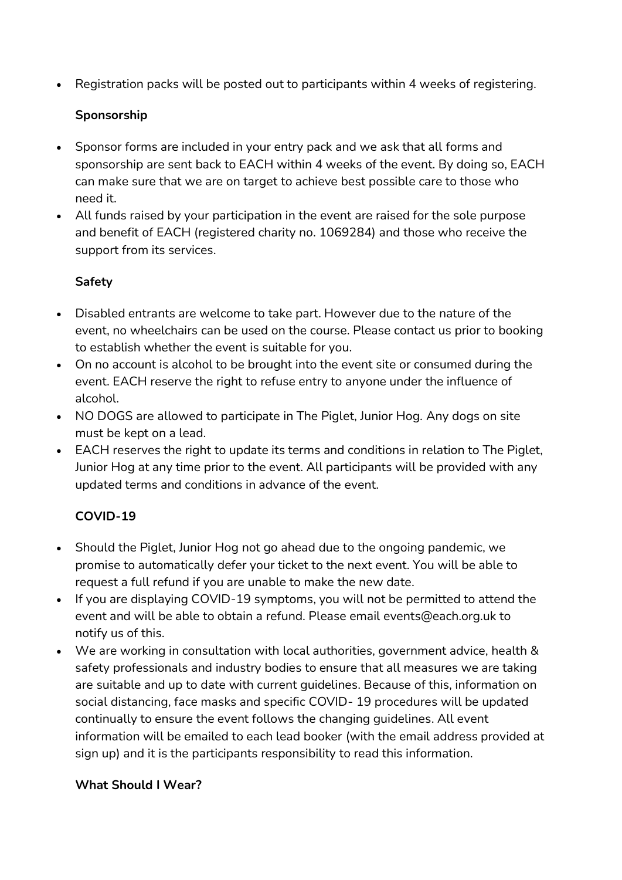• Registration packs will be posted out to participants within 4 weeks of registering.

### **Sponsorship**

- Sponsor forms are included in your entry pack and we ask that all forms and sponsorship are sent back to EACH within 4 weeks of the event. By doing so, EACH can make sure that we are on target to achieve best possible care to those who need it.
- All funds raised by your participation in the event are raised for the sole purpose and benefit of EACH (registered charity no. 1069284) and those who receive the support from its services.

## **Safety**

- Disabled entrants are welcome to take part. However due to the nature of the event, no wheelchairs can be used on the course. Please contact us prior to booking to establish whether the event is suitable for you.
- On no account is alcohol to be brought into the event site or consumed during the event. EACH reserve the right to refuse entry to anyone under the influence of alcohol.
- NO DOGS are allowed to participate in The Piglet, Junior Hog. Any dogs on site must be kept on a lead.
- EACH reserves the right to update its terms and conditions in relation to The Piglet, Junior Hog at any time prior to the event. All participants will be provided with any updated terms and conditions in advance of the event.

## **COVID-19**

- Should the Piglet, Junior Hog not go ahead due to the ongoing pandemic, we promise to automatically defer your ticket to the next event. You will be able to request a full refund if you are unable to make the new date.
- If you are displaying COVID-19 symptoms, you will not be permitted to attend the event and will be able to obtain a refund. Please email events@each.org.uk to notify us of this.
- We are working in consultation with local authorities, government advice, health & safety professionals and industry bodies to ensure that all measures we are taking are suitable and up to date with current guidelines. Because of this, information on social distancing, face masks and specific COVID- 19 procedures will be updated continually to ensure the event follows the changing guidelines. All event information will be emailed to each lead booker (with the email address provided at sign up) and it is the participants responsibility to read this information.

### **What Should I Wear?**